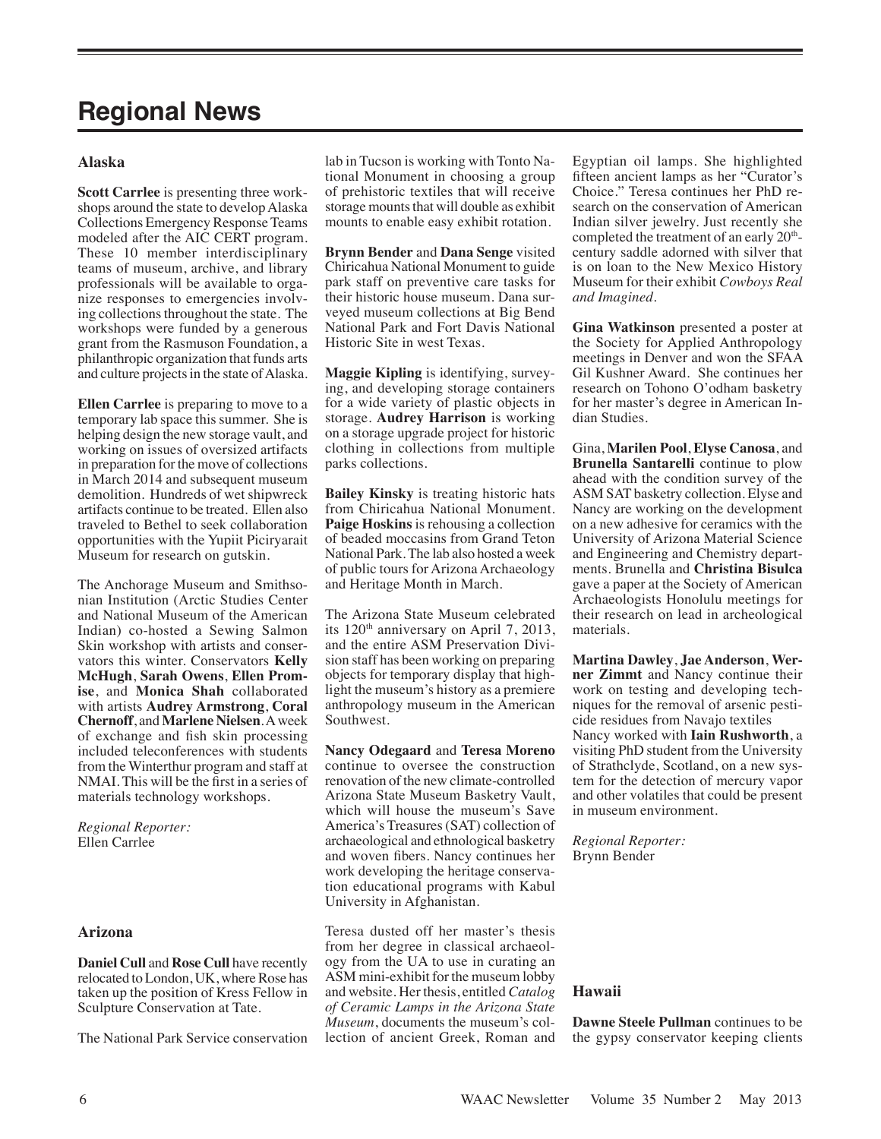# **Regional News**

# **Alaska**

**Scott Carrlee** is presenting three workshops around the state to develop Alaska Collections Emergency Response Teams modeled after the AIC CERT program. These 10 member interdisciplinary teams of museum, archive, and library professionals will be available to organize responses to emergencies involving collections throughout the state. The workshops were funded by a generous grant from the Rasmuson Foundation, a philanthropic organization that funds arts and culture projects in the state of Alaska.

**Ellen Carrlee** is preparing to move to a temporary lab space this summer. She is helping design the new storage vault, and working on issues of oversized artifacts in preparation for the move of collections in March 2014 and subsequent museum demolition. Hundreds of wet shipwreck artifacts continue to be treated. Ellen also traveled to Bethel to seek collaboration opportunities with the Yupiit Piciryarait Museum for research on gutskin.

The Anchorage Museum and Smithsonian Institution (Arctic Studies Center and National Museum of the American Indian) co-hosted a Sewing Salmon Skin workshop with artists and conservators this winter. Conservators **Kelly McHugh**, **Sarah Owens**, **Ellen Promise**, and **Monica Shah** collaborated with artists **Audrey Armstrong**, **Coral Chernoff**, and **Marlene Nielsen**. A week of exchange and fish skin processing included teleconferences with students from the Winterthur program and staff at NMAI. This will be the first in a series of materials technology workshops.

*Regional Reporter:* Ellen Carrlee

#### **Arizona**

**Daniel Cull** and **Rose Cull** have recently relocated to London, UK, where Rose has taken up the position of Kress Fellow in Sculpture Conservation at Tate.

The National Park Service conservation

lab in Tucson is working with Tonto National Monument in choosing a group of prehistoric textiles that will receive storage mounts that will double as exhibit mounts to enable easy exhibit rotation.

**Brynn Bender** and **Dana Senge** visited Chiricahua National Monument to guide park staff on preventive care tasks for their historic house museum. Dana surveyed museum collections at Big Bend National Park and Fort Davis National Historic Site in west Texas.

**Maggie Kipling** is identifying, surveying, and developing storage containers for a wide variety of plastic objects in storage. **Audrey Harrison** is working on a storage upgrade project for historic clothing in collections from multiple parks collections.

**Bailey Kinsky** is treating historic hats from Chiricahua National Monument. **Paige Hoskins** is rehousing a collection of beaded moccasins from Grand Teton National Park. The lab also hosted a week of public tours for Arizona Archaeology and Heritage Month in March.

The Arizona State Museum celebrated its  $120<sup>th</sup>$  anniversary on April 7, 2013, and the entire ASM Preservation Division staff has been working on preparing objects for temporary display that highlight the museum's history as a premiere anthropology museum in the American Southwest.

**Nancy Odegaard** and **Teresa Moreno** continue to oversee the construction renovation of the new climate-controlled Arizona State Museum Basketry Vault, which will house the museum's Save America's Treasures (SAT) collection of archaeological and ethnological basketry and woven fibers. Nancy continues her work developing the heritage conservation educational programs with Kabul University in Afghanistan.

Teresa dusted off her master's thesis from her degree in classical archaeology from the UA to use in curating an ASM mini-exhibit for the museum lobby and website. Her thesis, entitled *Catalog of Ceramic Lamps in the Arizona State Museum*, documents the museum's collection of ancient Greek, Roman and Egyptian oil lamps. She highlighted fifteen ancient lamps as her "Curator's Choice." Teresa continues her PhD research on the conservation of American Indian silver jewelry. Just recently she completed the treatment of an early 20<sup>th</sup>century saddle adorned with silver that is on loan to the New Mexico History Museum for their exhibit *Cowboys Real and Imagined*.

**Gina Watkinson** presented a poster at the Society for Applied Anthropology meetings in Denver and won the SFAA Gil Kushner Award. She continues her research on Tohono O'odham basketry for her master's degree in American Indian Studies.

Gina, **Marilen Pool**, **Elyse Canosa**, and **Brunella Santarelli** continue to plow ahead with the condition survey of the ASM SAT basketry collection. Elyse and Nancy are working on the development on a new adhesive for ceramics with the University of Arizona Material Science and Engineering and Chemistry departments. Brunella and **Christina Bisulca** gave a paper at the Society of American Archaeologists Honolulu meetings for their research on lead in archeological materials.

**Martina Dawley**, **Jae Anderson**, **Werner Zimmt** and Nancy continue their work on testing and developing techniques for the removal of arsenic pesticide residues from Navajo textiles Nancy worked with **Iain Rushworth**, a visiting PhD student from the University of Strathclyde, Scotland, on a new system for the detection of mercury vapor and other volatiles that could be present in museum environment.

*Regional Reporter:* Brynn Bender

#### **Hawaii**

**Dawne Steele Pullman** continues to be the gypsy conservator keeping clients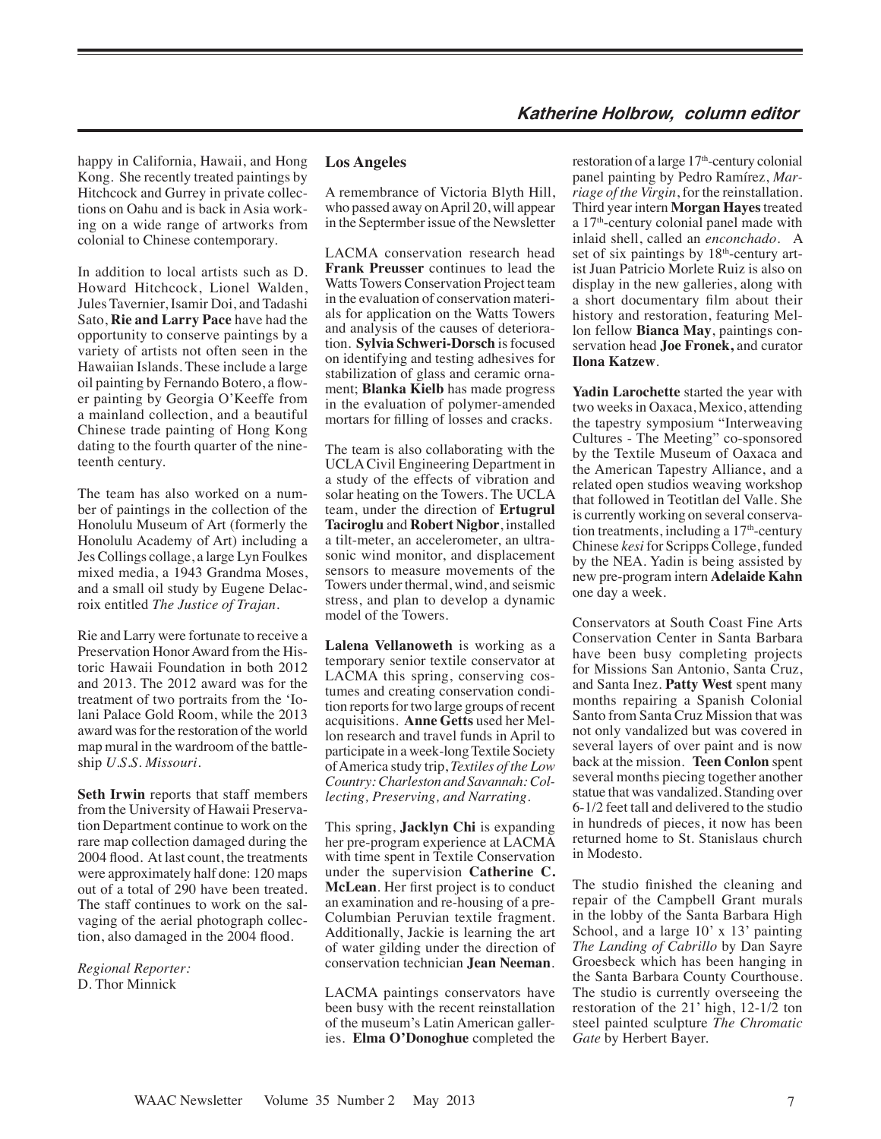happy in California, Hawaii, and Hong Kong. She recently treated paintings by Hitchcock and Gurrey in private collections on Oahu and is back in Asia working on a wide range of artworks from colonial to Chinese contemporary.

In addition to local artists such as D. Howard Hitchcock, Lionel Walden, Jules Tavernier, Isamir Doi, and Tadashi Sato, **Rie and Larry Pace** have had the opportunity to conserve paintings by a variety of artists not often seen in the Hawaiian Islands. These include a large oil painting by Fernando Botero, a flower painting by Georgia O'Keeffe from a mainland collection, and a beautiful Chinese trade painting of Hong Kong dating to the fourth quarter of the nineteenth century.

The team has also worked on a number of paintings in the collection of the Honolulu Museum of Art (formerly the Honolulu Academy of Art) including a Jes Collings collage, a large Lyn Foulkes mixed media, a 1943 Grandma Moses, and a small oil study by Eugene Delacroix entitled *The Justice of Trajan*.

Rie and Larry were fortunate to receive a Preservation Honor Award from the Historic Hawaii Foundation in both 2012 and 2013. The 2012 award was for the treatment of two portraits from the 'Iolani Palace Gold Room, while the 2013 award was for the restoration of the world map mural in the wardroom of the battleship *U.S.S. Missouri*.

**Seth Irwin** reports that staff members from the University of Hawaii Preservation Department continue to work on the rare map collection damaged during the 2004 flood. At last count, the treatments were approximately half done: 120 maps out of a total of 290 have been treated. The staff continues to work on the salvaging of the aerial photograph collection, also damaged in the 2004 flood.

*Regional Reporter:*  D. Thor Minnick

## **Los Angeles**

A remembrance of Victoria Blyth Hill, who passed away on April 20, will appear in the Septermber issue of the Newsletter

LACMA conservation research head **Frank Preusser** continues to lead the Watts Towers Conservation Project team in the evaluation of conservation materials for application on the Watts Towers and analysis of the causes of deterioration. **Sylvia Schweri-Dorsch** is focused on identifying and testing adhesives for stabilization of glass and ceramic ornament; **Blanka Kielb** has made progress in the evaluation of polymer-amended mortars for filling of losses and cracks.

The team is also collaborating with the UCLA Civil Engineering Department in a study of the effects of vibration and solar heating on the Towers. The UCLA team, under the direction of **Ertugrul Taciroglu** and **Robert Nigbor**, installed a tilt-meter, an accelerometer, an ultrasonic wind monitor, and displacement sensors to measure movements of the Towers under thermal, wind, and seismic stress, and plan to develop a dynamic model of the Towers.

**Lalena Vellanoweth** is working as a temporary senior textile conservator at LACMA this spring, conserving costumes and creating conservation condition reports for two large groups of recent acquisitions. **Anne Getts** used her Mellon research and travel funds in April to participate in a week-long Textile Society of America study trip, *Textiles of the Low Country: Charleston and Savannah: Collecting, Preserving, and Narrating*.

This spring, **Jacklyn Chi** is expanding her pre-program experience at LACMA with time spent in Textile Conservation under the supervision **Catherine C. McLean**. Her first project is to conduct an examination and re-housing of a pre-Columbian Peruvian textile fragment. Additionally, Jackie is learning the art of water gilding under the direction of conservation technician **Jean Neeman**.

LACMA paintings conservators have been busy with the recent reinstallation of the museum's Latin American galleries. **Elma O'Donoghue** completed the restoration of a large 17<sup>th</sup>-century colonial panel painting by Pedro Ramírez, *Marriage of the Virgin*, for the reinstallation. Third year intern **Morgan Hayes**treated a 17th-century colonial panel made with inlaid shell, called an *enconchado*. A set of six paintings by  $18<sup>th</sup>$ -century artist Juan Patricio Morlete Ruiz is also on display in the new galleries, along with a short documentary film about their history and restoration, featuring Mellon fellow **Bianca May**, paintings conservation head **Joe Fronek,** and curator **Ilona Katzew**.

**Yadin Larochette** started the year with two weeks in Oaxaca, Mexico, attending the tapestry symposium "Interweaving Cultures - The Meeting" co-sponsored by the Textile Museum of Oaxaca and the American Tapestry Alliance, and a related open studios weaving workshop that followed in Teotitlan del Valle. She is currently working on several conservation treatments, including a  $17<sup>th</sup>$ -century Chinese *kesi* for Scripps College, funded by the NEA. Yadin is being assisted by new pre-program intern **Adelaide Kahn** one day a week.

Conservators at South Coast Fine Arts Conservation Center in Santa Barbara have been busy completing projects for Missions San Antonio, Santa Cruz, and Santa Inez. **Patty West** spent many months repairing a Spanish Colonial Santo from Santa Cruz Mission that was not only vandalized but was covered in several layers of over paint and is now back at the mission. **Teen Conlon** spent several months piecing together another statue that was vandalized. Standing over 6-1/2 feet tall and delivered to the studio in hundreds of pieces, it now has been returned home to St. Stanislaus church in Modesto.

The studio finished the cleaning and repair of the Campbell Grant murals in the lobby of the Santa Barbara High School, and a large 10' x 13' painting *The Landing of Cabrillo* by Dan Sayre Groesbeck which has been hanging in the Santa Barbara County Courthouse. The studio is currently overseeing the restoration of the 21' high, 12-1/2 ton steel painted sculpture *The Chromatic Gate* by Herbert Bayer.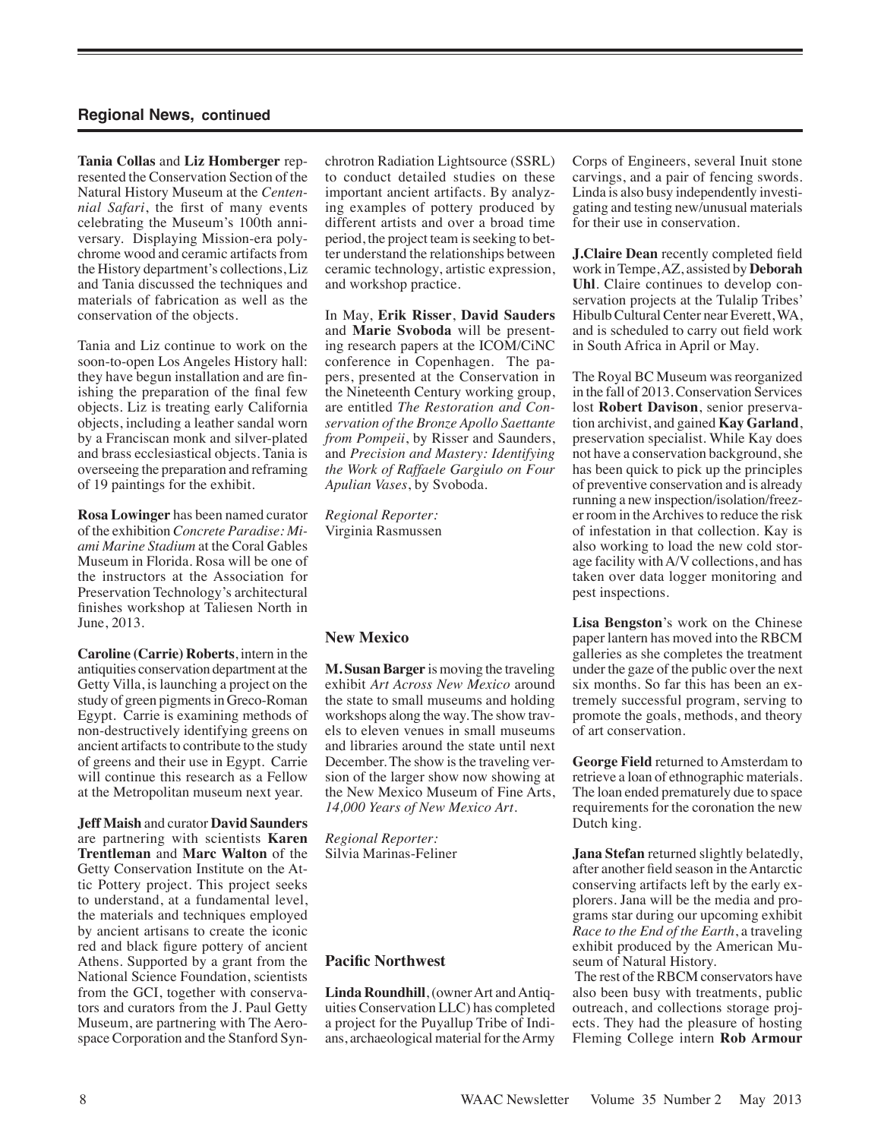**Tania Collas** and **Liz Homberger** represented the Conservation Section of the Natural History Museum at the *Centennial Safari*, the first of many events celebrating the Museum's 100th anniversary. Displaying Mission-era polychrome wood and ceramic artifacts from the History department's collections, Liz and Tania discussed the techniques and materials of fabrication as well as the conservation of the objects.

Tania and Liz continue to work on the soon-to-open Los Angeles History hall: they have begun installation and are finishing the preparation of the final few objects. Liz is treating early California objects, including a leather sandal worn by a Franciscan monk and silver-plated and brass ecclesiastical objects. Tania is overseeing the preparation and reframing of 19 paintings for the exhibit.

**Rosa Lowinger** has been named curator of the exhibition *Concrete Paradise: Miami Marine Stadium* at the Coral Gables Museum in Florida. Rosa will be one of the instructors at the Association for Preservation Technology's architectural finishes workshop at Taliesen North in June, 2013.

**Caroline (Carrie) Roberts**, intern in the antiquities conservation department at the Getty Villa, is launching a project on the study of green pigments in Greco-Roman Egypt. Carrie is examining methods of non-destructively identifying greens on ancient artifacts to contribute to the study of greens and their use in Egypt. Carrie will continue this research as a Fellow at the Metropolitan museum next year.

**Jeff Maish** and curator **David Saunders** are partnering with scientists **Karen Trentleman** and **Marc Walton** of the Getty Conservation Institute on the Attic Pottery project. This project seeks to understand, at a fundamental level, the materials and techniques employed by ancient artisans to create the iconic red and black figure pottery of ancient Athens. Supported by a grant from the National Science Foundation, scientists from the GCI, together with conservators and curators from the J. Paul Getty Museum, are partnering with The Aerospace Corporation and the Stanford Synchrotron Radiation Lightsource (SSRL) to conduct detailed studies on these important ancient artifacts. By analyzing examples of pottery produced by different artists and over a broad time period, the project team is seeking to better understand the relationships between ceramic technology, artistic expression, and workshop practice.

In May, **Erik Risser**, **David Sauders** and **Marie Svoboda** will be presenting research papers at the ICOM/CiNC conference in Copenhagen. The papers, presented at the Conservation in the Nineteenth Century working group, are entitled *The Restoration and Conservation of the Bronze Apollo Saettante from Pompeii*, by Risser and Saunders, and *Precision and Mastery: Identifying the Work of Raffaele Gargiulo on Four Apulian Vases*, by Svoboda.

*Regional Reporter:* Virginia Rasmussen

## **New Mexico**

**M. Susan Barger** is moving the traveling exhibit *Art Across New Mexico* around the state to small museums and holding workshops along the way. The show travels to eleven venues in small museums and libraries around the state until next December. The show is the traveling version of the larger show now showing at the New Mexico Museum of Fine Arts, *14,000 Years of New Mexico Art*.

*Regional Reporter:* Silvia Marinas-Feliner

#### **Pacific Northwest**

**Linda Roundhill**, (owner Art and Antiquities Conservation LLC) has completed a project for the Puyallup Tribe of Indians, archaeological material for the Army Corps of Engineers, several Inuit stone carvings, and a pair of fencing swords. Linda is also busy independently investigating and testing new/unusual materials for their use in conservation.

**J.Claire Dean** recently completed field work in Tempe, AZ, assisted by **Deborah Uhl**. Claire continues to develop conservation projects at the Tulalip Tribes' Hibulb Cultural Center near Everett, WA, and is scheduled to carry out field work in South Africa in April or May.

The Royal BC Museum was reorganized in the fall of 2013. Conservation Services lost **Robert Davison**, senior preservation archivist, and gained **Kay Garland**, preservation specialist. While Kay does not have a conservation background, she has been quick to pick up the principles of preventive conservation and is already running a new inspection/isolation/freezer room in the Archives to reduce the risk of infestation in that collection. Kay is also working to load the new cold storage facility with A/V collections, and has taken over data logger monitoring and pest inspections.

**Lisa Bengston**'s work on the Chinese paper lantern has moved into the RBCM galleries as she completes the treatment under the gaze of the public over the next six months. So far this has been an extremely successful program, serving to promote the goals, methods, and theory of art conservation.

**George Field** returned to Amsterdam to retrieve a loan of ethnographic materials. The loan ended prematurely due to space requirements for the coronation the new Dutch king.

**Jana Stefan** returned slightly belatedly, after another field season in the Antarctic conserving artifacts left by the early explorers. Jana will be the media and programs star during our upcoming exhibit *Race to the End of the Earth*, a traveling exhibit produced by the American Museum of Natural History.

 The rest of the RBCM conservators have also been busy with treatments, public outreach, and collections storage projects. They had the pleasure of hosting Fleming College intern **Rob Armour**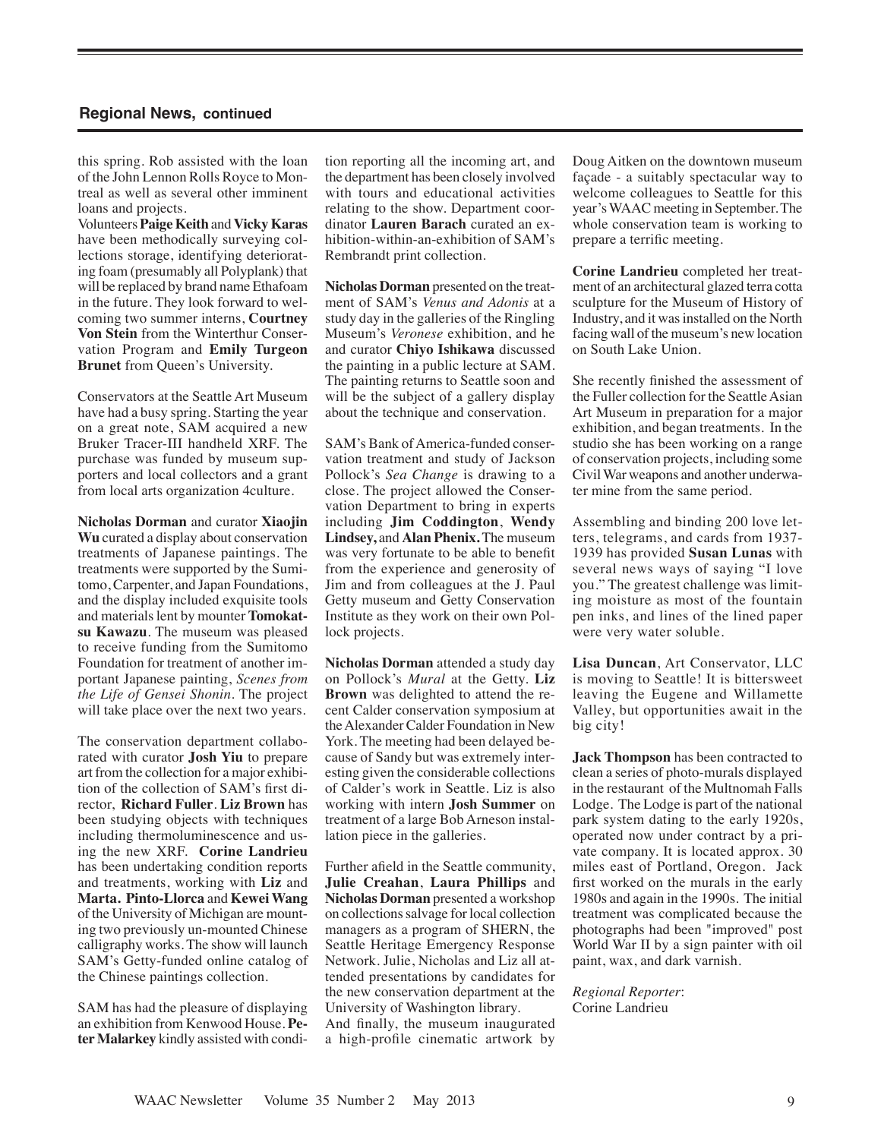this spring. Rob assisted with the loan of the John Lennon Rolls Royce to Montreal as well as several other imminent loans and projects.

Volunteers **Paige Keith** and **Vicky Karas** have been methodically surveying collections storage, identifying deteriorating foam (presumably all Polyplank) that will be replaced by brand name Ethafoam in the future. They look forward to welcoming two summer interns, **Courtney Von Stein** from the Winterthur Conservation Program and **Emily Turgeon Brunet** from Queen's University.

Conservators at the Seattle Art Museum have had a busy spring. Starting the year on a great note, SAM acquired a new Bruker Tracer-III handheld XRF. The purchase was funded by museum supporters and local collectors and a grant from local arts organization 4culture.

**Nicholas Dorman** and curator **Xiaojin Wu** curated a display about conservation treatments of Japanese paintings. The treatments were supported by the Sumitomo, Carpenter, and Japan Foundations, and the display included exquisite tools and materials lent by mounter **Tomokatsu Kawazu**. The museum was pleased to receive funding from the Sumitomo Foundation for treatment of another important Japanese painting, *Scenes from the Life of Gensei Shonin*. The project will take place over the next two years.

The conservation department collaborated with curator **Josh Yiu** to prepare art from the collection for a major exhibition of the collection of SAM's first director, **Richard Fuller**. **Liz Brown** has been studying objects with techniques including thermoluminescence and using the new XRF. **Corine Landrieu** has been undertaking condition reports and treatments, working with **Liz** and **Marta. Pinto-Llorca** and **Kewei Wang** of the University of Michigan are mounting two previously un-mounted Chinese calligraphy works. The show will launch SAM's Getty-funded online catalog of the Chinese paintings collection.

SAM has had the pleasure of displaying an exhibition from Kenwood House. **Peter Malarkey** kindly assisted with condition reporting all the incoming art, and the department has been closely involved with tours and educational activities relating to the show. Department coordinator **Lauren Barach** curated an exhibition-within-an-exhibition of SAM's Rembrandt print collection.

**Nicholas Dorman** presented on the treatment of SAM's *Venus and Adonis* at a study day in the galleries of the Ringling Museum's *Veronese* exhibition, and he and curator **Chiyo Ishikawa** discussed the painting in a public lecture at SAM. The painting returns to Seattle soon and will be the subject of a gallery display about the technique and conservation.

SAM's Bank of America-funded conservation treatment and study of Jackson Pollock's *Sea Change* is drawing to a close. The project allowed the Conservation Department to bring in experts including **Jim Coddington**, **Wendy Lindsey,** and **Alan Phenix.** The museum was very fortunate to be able to benefit from the experience and generosity of Jim and from colleagues at the J. Paul Getty museum and Getty Conservation Institute as they work on their own Pollock projects.

**Nicholas Dorman** attended a study day on Pollock's *Mural* at the Getty. **Liz Brown** was delighted to attend the recent Calder conservation symposium at the Alexander Calder Foundation in New York. The meeting had been delayed because of Sandy but was extremely interesting given the considerable collections of Calder's work in Seattle. Liz is also working with intern **Josh Summer** on treatment of a large Bob Arneson installation piece in the galleries.

Further afield in the Seattle community, **Julie Creahan**, **Laura Phillips** and **Nicholas Dorman** presented a workshop on collections salvage for local collection managers as a program of SHERN, the Seattle Heritage Emergency Response Network. Julie, Nicholas and Liz all attended presentations by candidates for the new conservation department at the University of Washington library. And finally, the museum inaugurated a high-profile cinematic artwork by Doug Aitken on the downtown museum façade - a suitably spectacular way to welcome colleagues to Seattle for this year's WAAC meeting in September. The whole conservation team is working to prepare a terrific meeting.

**Corine Landrieu** completed her treatment of an architectural glazed terra cotta sculpture for the Museum of History of Industry, and it was installed on the North facing wall of the museum's new location on South Lake Union.

She recently finished the assessment of the Fuller collection for the Seattle Asian Art Museum in preparation for a major exhibition, and began treatments. In the studio she has been working on a range of conservation projects, including some Civil War weapons and another underwater mine from the same period.

Assembling and binding 200 love letters, telegrams, and cards from 1937- 1939 has provided **Susan Lunas** with several news ways of saying "I love you." The greatest challenge was limiting moisture as most of the fountain pen inks, and lines of the lined paper were very water soluble.

**Lisa Duncan**, Art Conservator, LLC is moving to Seattle! It is bittersweet leaving the Eugene and Willamette Valley, but opportunities await in the big city!

**Jack Thompson** has been contracted to clean a series of photo-murals displayed in the restaurant of the Multnomah Falls Lodge. The Lodge is part of the national park system dating to the early 1920s, operated now under contract by a private company. It is located approx. 30 miles east of Portland, Oregon. Jack first worked on the murals in the early 1980s and again in the 1990s. The initial treatment was complicated because the photographs had been "improved" post World War II by a sign painter with oil paint, wax, and dark varnish.

*Regional Reporter*: Corine Landrieu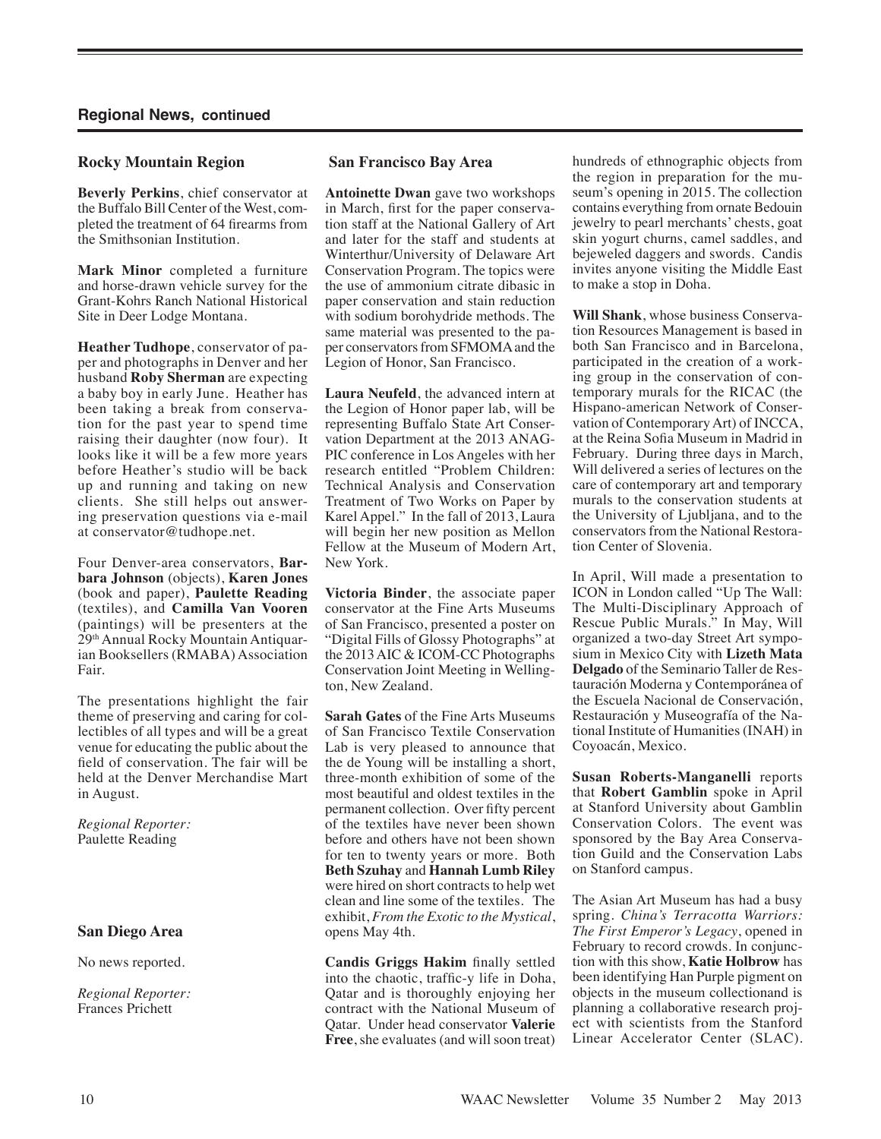## **Rocky Mountain Region**

**Beverly Perkins**, chief conservator at the Buffalo Bill Center of the West, completed the treatment of 64 firearms from the Smithsonian Institution.

**Mark Minor** completed a furniture and horse-drawn vehicle survey for the Grant-Kohrs Ranch National Historical Site in Deer Lodge Montana.

**Heather Tudhope**, conservator of paper and photographs in Denver and her husband **Roby Sherman** are expecting a baby boy in early June. Heather has been taking a break from conservation for the past year to spend time raising their daughter (now four). It looks like it will be a few more years before Heather's studio will be back up and running and taking on new clients. She still helps out answering preservation questions via e-mail at conservator@tudhope.net.

Four Denver-area conservators, **Barbara Johnson** (objects), **Karen Jones** (book and paper), **Paulette Reading** (textiles), and **Camilla Van Vooren** (paintings) will be presenters at the 29th Annual Rocky Mountain Antiquarian Booksellers (RMABA) Association Fair.

The presentations highlight the fair theme of preserving and caring for collectibles of all types and will be a great venue for educating the public about the field of conservation. The fair will be held at the Denver Merchandise Mart in August.

*Regional Reporter:* Paulette Reading

#### **San Diego Area**

No news reported.

*Regional Reporter:* Frances Prichett

## **San Francisco Bay Area**

**Antoinette Dwan** gave two workshops in March, first for the paper conservation staff at the National Gallery of Art and later for the staff and students at Winterthur/University of Delaware Art Conservation Program. The topics were the use of ammonium citrate dibasic in paper conservation and stain reduction with sodium borohydride methods. The same material was presented to the paper conservators from SFMOMA and the Legion of Honor, San Francisco.

**Laura Neufeld**, the advanced intern at the Legion of Honor paper lab, will be representing Buffalo State Art Conservation Department at the 2013 ANAG-PIC conference in Los Angeles with her research entitled "Problem Children: Technical Analysis and Conservation Treatment of Two Works on Paper by Karel Appel." In the fall of 2013, Laura will begin her new position as Mellon Fellow at the Museum of Modern Art, New York.

**Victoria Binder**, the associate paper conservator at the Fine Arts Museums of San Francisco, presented a poster on "Digital Fills of Glossy Photographs" at the 2013 AIC & ICOM-CC Photographs Conservation Joint Meeting in Wellington, New Zealand.

**Sarah Gates** of the Fine Arts Museums of San Francisco Textile Conservation Lab is very pleased to announce that the de Young will be installing a short, three-month exhibition of some of the most beautiful and oldest textiles in the permanent collection. Over fifty percent of the textiles have never been shown before and others have not been shown for ten to twenty years or more. Both **Beth Szuhay** and **Hannah Lumb Riley** were hired on short contracts to help wet clean and line some of the textiles. The exhibit, *From the Exotic to the Mystical*, opens May 4th.

**Candis Griggs Hakim** finally settled into the chaotic, traffic-y life in Doha, Qatar and is thoroughly enjoying her contract with the National Museum of Qatar. Under head conservator **Valerie Free**, she evaluates (and will soon treat) hundreds of ethnographic objects from the region in preparation for the museum's opening in 2015. The collection contains everything from ornate Bedouin jewelry to pearl merchants' chests, goat skin yogurt churns, camel saddles, and bejeweled daggers and swords. Candis invites anyone visiting the Middle East to make a stop in Doha.

**Will Shank**, whose business Conservation Resources Management is based in both San Francisco and in Barcelona, participated in the creation of a working group in the conservation of contemporary murals for the RICAC (the Hispano-american Network of Conservation of Contemporary Art) of INCCA, at the Reina Sofia Museum in Madrid in February. During three days in March, Will delivered a series of lectures on the care of contemporary art and temporary murals to the conservation students at the University of Ljubljana, and to the conservators from the National Restoration Center of Slovenia.

In April, Will made a presentation to ICON in London called "Up The Wall: The Multi-Disciplinary Approach of Rescue Public Murals." In May, Will organized a two-day Street Art symposium in Mexico City with **Lizeth Mata Delgado** of the Seminario Taller de Restauración Moderna y Contemporánea of the Escuela Nacional de Conservación, Restauración y Museografía of the National Institute of Humanities (INAH) in Coyoacán, Mexico.

**Susan Roberts-Manganelli** reports that **Robert Gamblin** spoke in April at Stanford University about Gamblin Conservation Colors. The event was sponsored by the Bay Area Conservation Guild and the Conservation Labs on Stanford campus.

The Asian Art Museum has had a busy spring. *China's Terracotta Warriors: The First Emperor's Legacy*, opened in February to record crowds. In conjunction with this show, **Katie Holbrow** has been identifying Han Purple pigment on objects in the museum collectionand is planning a collaborative research project with scientists from the Stanford Linear Accelerator Center (SLAC).